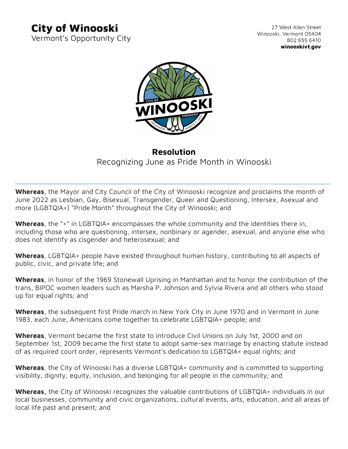## **City of Winooski**

Vermont's Opportunity City

27 West Allen Street Winooski, Vermont 05404 802 655 6410 winooskivt.gov



## **Resolution** Recognizing June as Pride Month in Winooski

**Whereas**, the Mayor and City Council of the City of Winooski recognize and proclaims the month of June 2022 as Lesbian, Gay, Bisexual, Transgender, Queer and Questioning, Intersex, Asexual and more (LGBTQIA+) "Pride Month" throughout the City of Winooski; and

**Whereas**, the "+" in LGBTQIA+ encompasses the whole community and the identities there in, including those who are questioning, intersex, nonbinary or agender, asexual, and anyone else who does not identify as cisgender and heterosexual; and

**Whereas**, LGBTQIA+ people have existed throughout human history, contributing to all aspects of public, civic, and private life; and

**Whereas**, in honor of the 1969 Stonewall Uprising in Manhattan and to honor the contribution of the trans, BIPOC women leaders such as Marsha P. Johnson and Sylvia Rivera and all others who stood up for equal rights; and

**Whereas**, the subsequent first Pride march in New York City in June 1970 and in Vermont in June 1983, each June, Americans come together to celebrate LGBTQIA+ people; and

**Whereas**, Vermont became the first state to introduce Civil Unions on July 1st, 2000 and on September 1st, 2009 became the first state to adopt same-sex marriage by enacting statute instead of as required court order, represents Vermont's dedication to LGBTQIA+ equal rights; and

**Whereas**, the City of Winooski has a diverse LGBTQIA+ community and is committed to supporting visibility, dignity, equity, inclusion, and belonging for all people in the community; and

**Whereas,** the City of Winooski recognizes the valuable contributions of LGBTQIA+ individuals in our local businesses, community and civic organizations, cultural events, arts, education, and all areas of local life past and present; and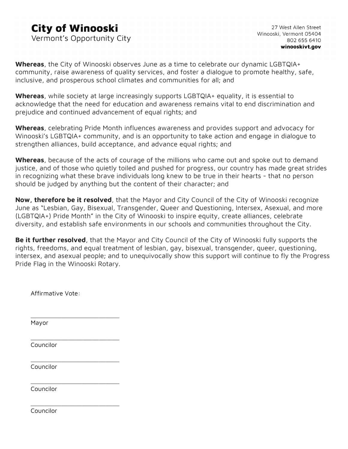## **City of Winooski**

Vermont's Opportunity City

**Whereas**, the City of Winooski observes June as a time to celebrate our dynamic LGBTQIA+ community, raise awareness of quality services, and foster a dialogue to promote healthy, safe, inclusive, and prosperous school climates and communities for all; and

**Whereas**, while society at large increasingly supports LGBTQIA+ equality, it is essential to acknowledge that the need for education and awareness remains vital to end discrimination and prejudice and continued advancement of equal rights; and

**Whereas**, celebrating Pride Month influences awareness and provides support and advocacy for Winooski's LGBTQIA+ community, and is an opportunity to take action and engage in dialogue to strengthen alliances, build acceptance, and advance equal rights; and

**Whereas**, because of the acts of courage of the millions who came out and spoke out to demand justice, and of those who quietly toiled and pushed for progress, our country has made great strides in recognizing what these brave individuals long knew to be true in their hearts - that no person should be judged by anything but the content of their character; and

**Now, therefore be it resolved**, that the Mayor and City Council of the City of Winooski recognize June as "Lesbian, Gay, Bisexual, Transgender, Queer and Questioning, Intersex, Asexual, and more (LGBTQIA+) Pride Month" in the City of Winooski to inspire equity, create alliances, celebrate diversity, and establish safe environments in our schools and communities throughout the City.

**Be it further resolved**, that the Mayor and City Council of the City of Winooski fully supports the rights, freedoms, and equal treatment of lesbian, gay, bisexual, transgender, queer, questioning, intersex, and asexual people; and to unequivocally show this support will continue to fly the Progress Pride Flag in the Winooski Rotary.

Affirmative Vote:

\_\_\_\_\_\_\_\_\_\_\_\_\_\_\_\_\_\_\_\_\_\_\_\_\_\_

\_\_\_\_\_\_\_\_\_\_\_\_\_\_\_\_\_\_\_\_\_\_\_\_\_\_

\_\_\_\_\_\_\_\_\_\_\_\_\_\_\_\_\_\_\_\_\_\_\_\_\_\_

\_\_\_\_\_\_\_\_\_\_\_\_\_\_\_\_\_\_\_\_\_\_\_\_\_\_

\_\_\_\_\_\_\_\_\_\_\_\_\_\_\_\_\_\_\_\_\_\_\_\_\_\_ Mayor

Councilor

Councilor

Councilor

Councilor